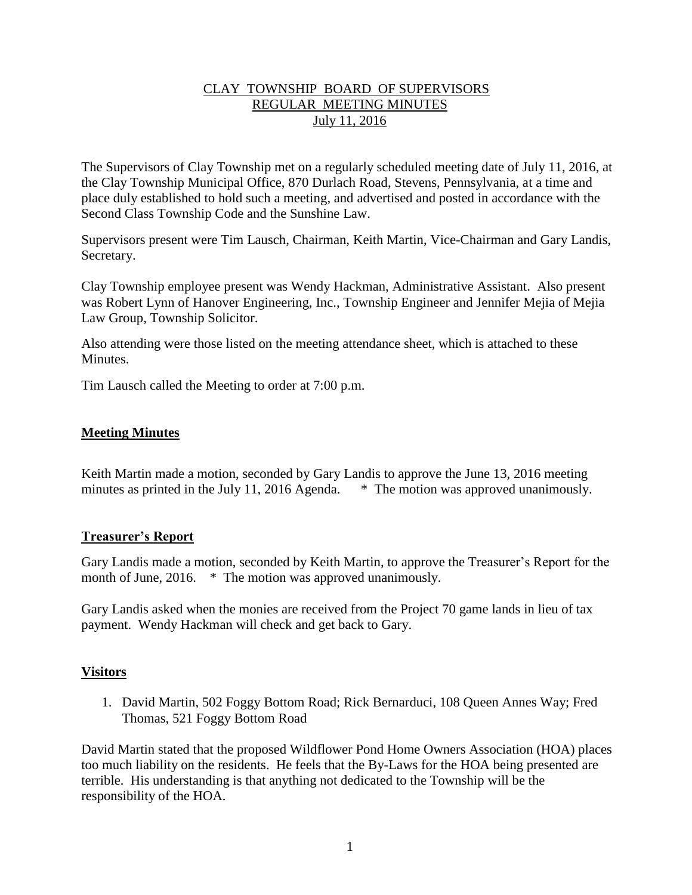# CLAY TOWNSHIP BOARD OF SUPERVISORS REGULAR MEETING MINUTES July 11, 2016

The Supervisors of Clay Township met on a regularly scheduled meeting date of July 11, 2016, at the Clay Township Municipal Office, 870 Durlach Road, Stevens, Pennsylvania, at a time and place duly established to hold such a meeting, and advertised and posted in accordance with the Second Class Township Code and the Sunshine Law.

Supervisors present were Tim Lausch, Chairman, Keith Martin, Vice-Chairman and Gary Landis, Secretary.

Clay Township employee present was Wendy Hackman, Administrative Assistant. Also present was Robert Lynn of Hanover Engineering, Inc., Township Engineer and Jennifer Mejia of Mejia Law Group, Township Solicitor.

Also attending were those listed on the meeting attendance sheet, which is attached to these **Minutes** 

Tim Lausch called the Meeting to order at 7:00 p.m.

# **Meeting Minutes**

Keith Martin made a motion, seconded by Gary Landis to approve the June 13, 2016 meeting minutes as printed in the July 11, 2016 Agenda. \* The motion was approved unanimously.

## **Treasurer's Report**

Gary Landis made a motion, seconded by Keith Martin, to approve the Treasurer's Report for the month of June, 2016. \* The motion was approved unanimously.

Gary Landis asked when the monies are received from the Project 70 game lands in lieu of tax payment. Wendy Hackman will check and get back to Gary.

## **Visitors**

1. David Martin, 502 Foggy Bottom Road; Rick Bernarduci, 108 Queen Annes Way; Fred Thomas, 521 Foggy Bottom Road

David Martin stated that the proposed Wildflower Pond Home Owners Association (HOA) places too much liability on the residents. He feels that the By-Laws for the HOA being presented are terrible. His understanding is that anything not dedicated to the Township will be the responsibility of the HOA.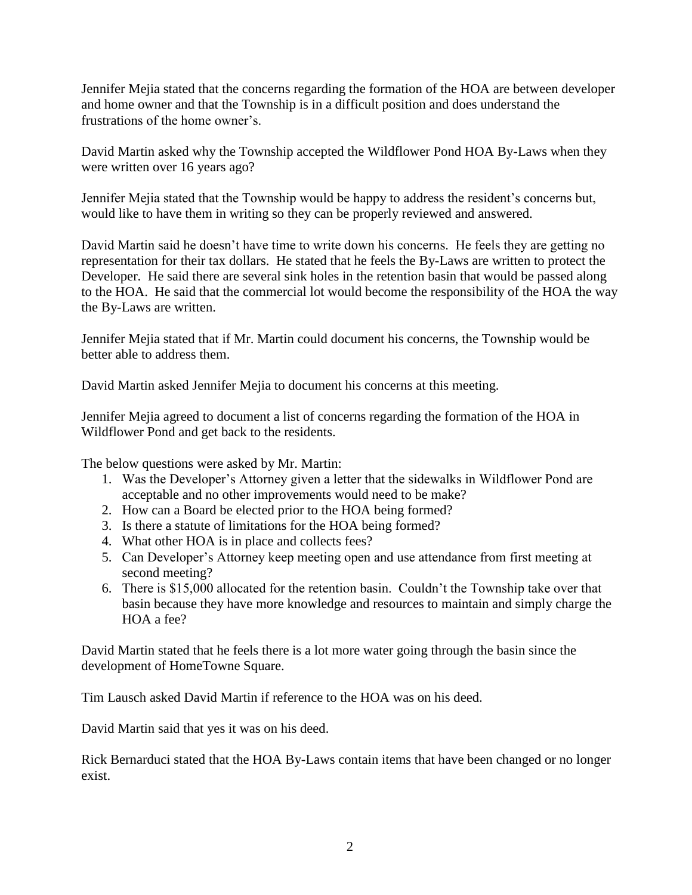Jennifer Mejia stated that the concerns regarding the formation of the HOA are between developer and home owner and that the Township is in a difficult position and does understand the frustrations of the home owner's.

David Martin asked why the Township accepted the Wildflower Pond HOA By-Laws when they were written over 16 years ago?

Jennifer Mejia stated that the Township would be happy to address the resident's concerns but, would like to have them in writing so they can be properly reviewed and answered.

David Martin said he doesn't have time to write down his concerns. He feels they are getting no representation for their tax dollars. He stated that he feels the By-Laws are written to protect the Developer. He said there are several sink holes in the retention basin that would be passed along to the HOA. He said that the commercial lot would become the responsibility of the HOA the way the By-Laws are written.

Jennifer Mejia stated that if Mr. Martin could document his concerns, the Township would be better able to address them.

David Martin asked Jennifer Mejia to document his concerns at this meeting.

Jennifer Mejia agreed to document a list of concerns regarding the formation of the HOA in Wildflower Pond and get back to the residents.

The below questions were asked by Mr. Martin:

- 1. Was the Developer's Attorney given a letter that the sidewalks in Wildflower Pond are acceptable and no other improvements would need to be make?
- 2. How can a Board be elected prior to the HOA being formed?
- 3. Is there a statute of limitations for the HOA being formed?
- 4. What other HOA is in place and collects fees?
- 5. Can Developer's Attorney keep meeting open and use attendance from first meeting at second meeting?
- 6. There is \$15,000 allocated for the retention basin. Couldn't the Township take over that basin because they have more knowledge and resources to maintain and simply charge the HOA a fee?

David Martin stated that he feels there is a lot more water going through the basin since the development of HomeTowne Square.

Tim Lausch asked David Martin if reference to the HOA was on his deed.

David Martin said that yes it was on his deed.

Rick Bernarduci stated that the HOA By-Laws contain items that have been changed or no longer exist.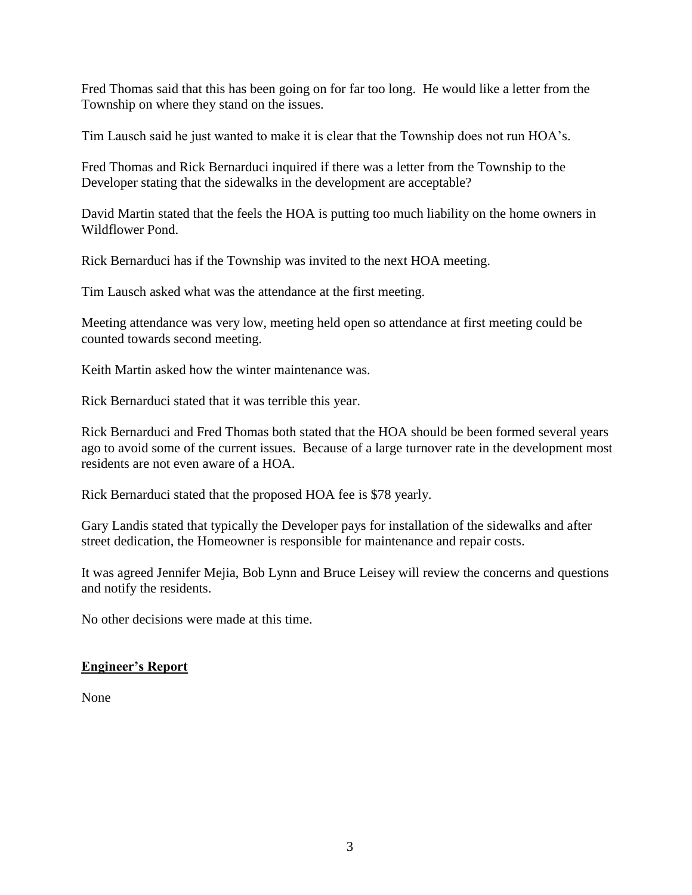Fred Thomas said that this has been going on for far too long. He would like a letter from the Township on where they stand on the issues.

Tim Lausch said he just wanted to make it is clear that the Township does not run HOA's.

Fred Thomas and Rick Bernarduci inquired if there was a letter from the Township to the Developer stating that the sidewalks in the development are acceptable?

David Martin stated that the feels the HOA is putting too much liability on the home owners in Wildflower Pond.

Rick Bernarduci has if the Township was invited to the next HOA meeting.

Tim Lausch asked what was the attendance at the first meeting.

Meeting attendance was very low, meeting held open so attendance at first meeting could be counted towards second meeting.

Keith Martin asked how the winter maintenance was.

Rick Bernarduci stated that it was terrible this year.

Rick Bernarduci and Fred Thomas both stated that the HOA should be been formed several years ago to avoid some of the current issues. Because of a large turnover rate in the development most residents are not even aware of a HOA.

Rick Bernarduci stated that the proposed HOA fee is \$78 yearly.

Gary Landis stated that typically the Developer pays for installation of the sidewalks and after street dedication, the Homeowner is responsible for maintenance and repair costs.

It was agreed Jennifer Mejia, Bob Lynn and Bruce Leisey will review the concerns and questions and notify the residents.

No other decisions were made at this time.

# **Engineer's Report**

None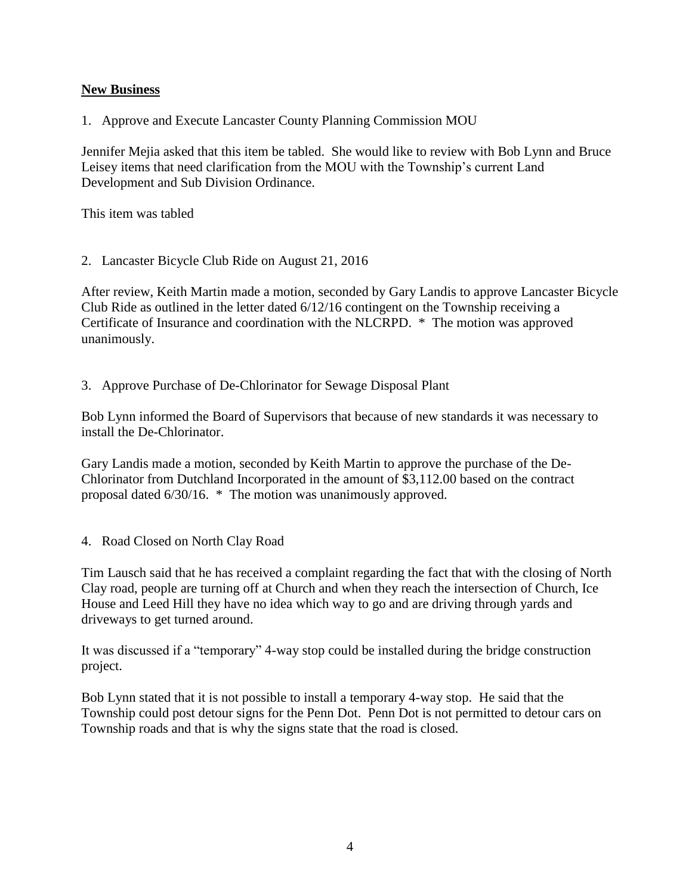# **New Business**

1. Approve and Execute Lancaster County Planning Commission MOU

Jennifer Mejia asked that this item be tabled. She would like to review with Bob Lynn and Bruce Leisey items that need clarification from the MOU with the Township's current Land Development and Sub Division Ordinance.

This item was tabled

2. Lancaster Bicycle Club Ride on August 21, 2016

After review, Keith Martin made a motion, seconded by Gary Landis to approve Lancaster Bicycle Club Ride as outlined in the letter dated 6/12/16 contingent on the Township receiving a Certificate of Insurance and coordination with the NLCRPD. \* The motion was approved unanimously.

3. Approve Purchase of De-Chlorinator for Sewage Disposal Plant

Bob Lynn informed the Board of Supervisors that because of new standards it was necessary to install the De-Chlorinator.

Gary Landis made a motion, seconded by Keith Martin to approve the purchase of the De-Chlorinator from Dutchland Incorporated in the amount of \$3,112.00 based on the contract proposal dated 6/30/16. \* The motion was unanimously approved.

4. Road Closed on North Clay Road

Tim Lausch said that he has received a complaint regarding the fact that with the closing of North Clay road, people are turning off at Church and when they reach the intersection of Church, Ice House and Leed Hill they have no idea which way to go and are driving through yards and driveways to get turned around.

It was discussed if a "temporary" 4-way stop could be installed during the bridge construction project.

Bob Lynn stated that it is not possible to install a temporary 4-way stop. He said that the Township could post detour signs for the Penn Dot. Penn Dot is not permitted to detour cars on Township roads and that is why the signs state that the road is closed.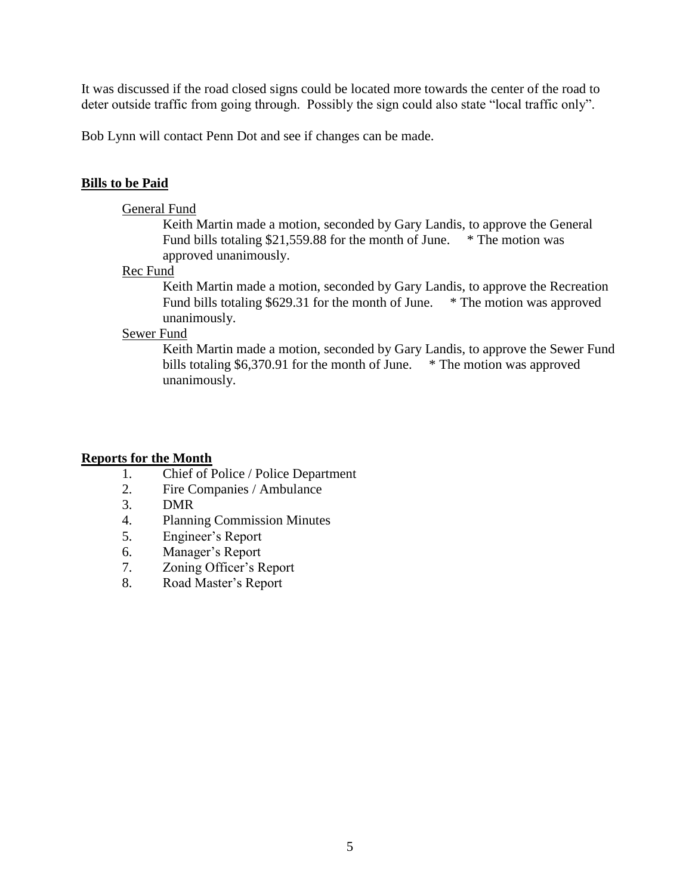It was discussed if the road closed signs could be located more towards the center of the road to deter outside traffic from going through. Possibly the sign could also state "local traffic only".

Bob Lynn will contact Penn Dot and see if changes can be made.

# **Bills to be Paid**

## General Fund

Keith Martin made a motion, seconded by Gary Landis, to approve the General Fund bills totaling \$21,559.88 for the month of June. \* The motion was approved unanimously.

#### Rec Fund

Keith Martin made a motion, seconded by Gary Landis, to approve the Recreation Fund bills totaling \$629.31 for the month of June. \* The motion was approved unanimously.

## Sewer Fund

Keith Martin made a motion, seconded by Gary Landis, to approve the Sewer Fund bills totaling \$6,370.91 for the month of June. \* The motion was approved unanimously.

## **Reports for the Month**

- 1. Chief of Police / Police Department
- 2. Fire Companies / Ambulance
- 3. DMR
- 4. Planning Commission Minutes
- 5. Engineer's Report
- 6. Manager's Report
- 7. Zoning Officer's Report
- 8. Road Master's Report